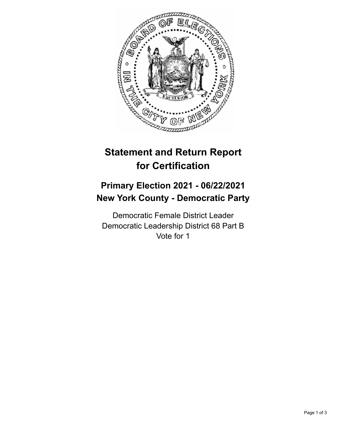

## **Statement and Return Report for Certification**

## **Primary Election 2021 - 06/22/2021 New York County - Democratic Party**

Democratic Female District Leader Democratic Leadership District 68 Part B Vote for 1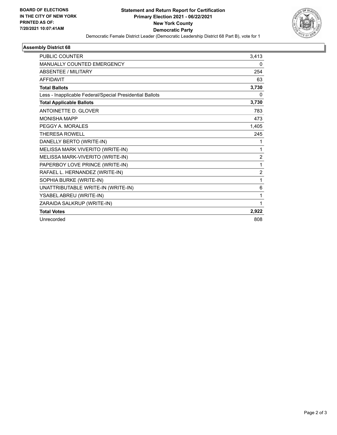

## **Assembly District 68**

| <b>PUBLIC COUNTER</b>                                    | 3,413          |
|----------------------------------------------------------|----------------|
| <b>MANUALLY COUNTED EMERGENCY</b>                        | 0              |
| <b>ABSENTEE / MILITARY</b>                               | 254            |
| <b>AFFIDAVIT</b>                                         | 63             |
| <b>Total Ballots</b>                                     | 3,730          |
| Less - Inapplicable Federal/Special Presidential Ballots | 0              |
| <b>Total Applicable Ballots</b>                          | 3,730          |
| <b>ANTOINETTE D. GLOVER</b>                              | 783            |
| <b>MONISHA MAPP</b>                                      | 473            |
| PEGGY A. MORALES                                         | 1,405          |
| THERESA ROWELL                                           | 245            |
| DANELLY BERTO (WRITE-IN)                                 | 1              |
| MELISSA MARK VIVERITO (WRITE-IN)                         | 1              |
| MELISSA MARK-VIVERITO (WRITE-IN)                         | $\overline{2}$ |
| PAPERBOY LOVE PRINCE (WRITE-IN)                          | 1              |
| RAFAEL L. HERNANDEZ (WRITE-IN)                           | $\overline{2}$ |
| SOPHIA BURKE (WRITE-IN)                                  | 1              |
| UNATTRIBUTABLE WRITE-IN (WRITE-IN)                       | 6              |
| YSABEL ABREU (WRITE-IN)                                  | 1              |
| ZARAIDA SALKRUP (WRITE-IN)                               | 1              |
| <b>Total Votes</b>                                       | 2,922          |
| Unrecorded                                               | 808            |